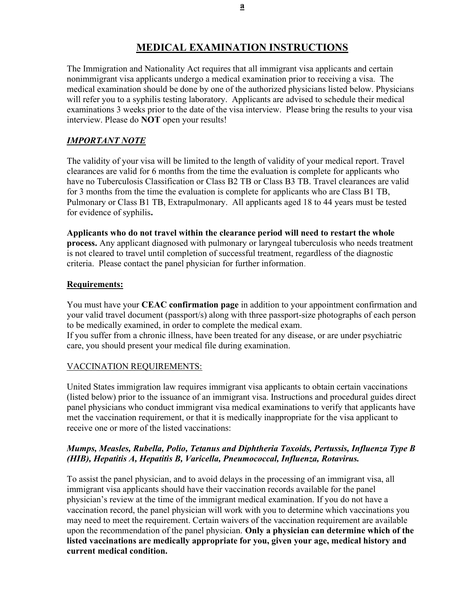# MEDICAL EXAMINATION INSTRUCTIONS

The Immigration and Nationality Act requires that all immigrant visa applicants and certain nonimmigrant visa applicants undergo a medical examination prior to receiving a visa. The medical examination should be done by one of the authorized physicians listed below. Physicians will refer you to a syphilis testing laboratory. Applicants are advised to schedule their medical examinations 3 weeks prior to the date of the visa interview. Please bring the results to your visa interview. Please do NOT open your results!

# IMPORTANT NOTE

The validity of your visa will be limited to the length of validity of your medical report. Travel clearances are valid for 6 months from the time the evaluation is complete for applicants who have no Tuberculosis Classification or Class B2 TB or Class B3 TB. Travel clearances are valid for 3 months from the time the evaluation is complete for applicants who are Class B1 TB, Pulmonary or Class B1 TB, Extrapulmonary. All applicants aged 18 to 44 years must be tested for evidence of syphilis.

Applicants who do not travel within the clearance period will need to restart the whole process. Any applicant diagnosed with pulmonary or laryngeal tuberculosis who needs treatment is not cleared to travel until completion of successful treatment, regardless of the diagnostic criteria. Please contact the panel physician for further information.

### Requirements:

You must have your CEAC confirmation page in addition to your appointment confirmation and your valid travel document (passport/s) along with three passport-size photographs of each person to be medically examined, in order to complete the medical exam.

If you suffer from a chronic illness, have been treated for any disease, or are under psychiatric care, you should present your medical file during examination.

### VACCINATION REQUIREMENTS:

United States immigration law requires immigrant visa applicants to obtain certain vaccinations (listed below) prior to the issuance of an immigrant visa. Instructions and procedural guides direct panel physicians who conduct immigrant visa medical examinations to verify that applicants have met the vaccination requirement, or that it is medically inappropriate for the visa applicant to receive one or more of the listed vaccinations:

## Mumps, Measles, Rubella, Polio, Tetanus and Diphtheria Toxoids, Pertussis, Influenza Type B (HIB), Hepatitis A, Hepatitis B, Varicella, Pneumococcal, Influenza, Rotavirus.

To assist the panel physician, and to avoid delays in the processing of an immigrant visa, all immigrant visa applicants should have their vaccination records available for the panel physician's review at the time of the immigrant medical examination. If you do not have a vaccination record, the panel physician will work with you to determine which vaccinations you may need to meet the requirement. Certain waivers of the vaccination requirement are available upon the recommendation of the panel physician. Only a physician can determine which of the listed vaccinations are medically appropriate for you, given your age, medical history and current medical condition.